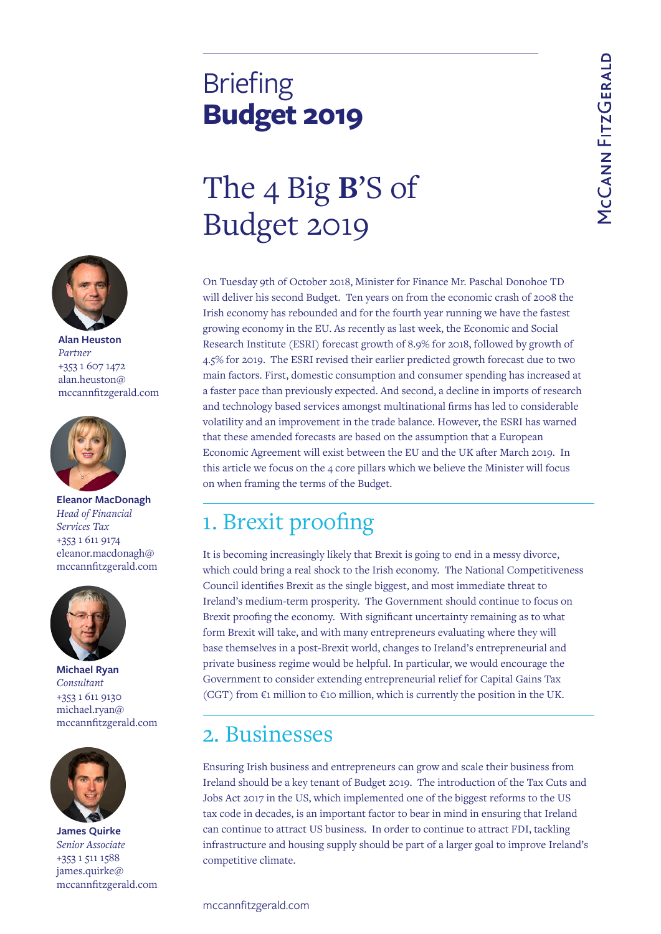## **Briefing Budget 2019**

# The 4 Big **B**'S of Budget 2019

On Tuesday 9th of October 2018, Minister for Finance Mr. Paschal Donohoe TD will deliver his second Budget. Ten years on from the economic crash of 2008 the Irish economy has rebounded and for the fourth year running we have the fastest growing economy in the EU. As recently as last week, the Economic and Social Research Institute (ESRI) forecast growth of 8.9% for 2018, followed by growth of 4.5% for 2019. The ESRI revised their earlier predicted growth forecast due to two main factors. First, domestic consumption and consumer spending has increased at a faster pace than previously expected. And second, a decline in imports of research and technology based services amongst multinational firms has led to considerable volatility and an improvement in the trade balance. However, the ESRI has warned that these amended forecasts are based on the assumption that a European Economic Agreement will exist between the EU and the UK after March 2019. In this article we focus on the 4 core pillars which we believe the Minister will focus on when framing the terms of the Budget.

### 1. Brexit proofing

It is becoming increasingly likely that Brexit is going to end in a messy divorce, which could bring a real shock to the Irish economy. The National Competitiveness Council identifies Brexit as the single biggest, and most immediate threat to Ireland's medium-term prosperity. The Government should continue to focus on Brexit proofing the economy. With significant uncertainty remaining as to what form Brexit will take, and with many entrepreneurs evaluating where they will base themselves in a post-Brexit world, changes to Ireland's entrepreneurial and private business regime would be helpful. In particular, we would encourage the Government to consider extending entrepreneurial relief for Capital Gains Tax (CGT) from  $\epsilon$ 1 million to  $\epsilon$ 10 million, which is currently the position in the UK.

#### 2. Businesses

Ensuring Irish business and entrepreneurs can grow and scale their business from Ireland should be a key tenant of Budget 2019. The introduction of the Tax Cuts and Jobs Act 2017 in the US, which implemented one of the biggest reforms to the US tax code in decades, is an important factor to bear in mind in ensuring that Ireland can continue to attract US business. In order to continue to attract FDI, tackling infrastructure and housing supply should be part of a larger goal to improve Ireland's competitive climate.



**Alan Heuston** *Partner* +353 1 607 1472 alan.heuston@ mccannfitzgerald.com



**Eleanor MacDonagh** *Head of Financial Services Tax* +353 1 611 9174 eleanor.macdonagh@ mccannfitzgerald.com



**Michael Ryan** *Consultant* +353 1 611 9130 michael.ryan@ mccannfitzgerald.com



**James Quirke** *Senior Associate* +353 1 511 1588 james.quirke@ mccannfitzgerald.com